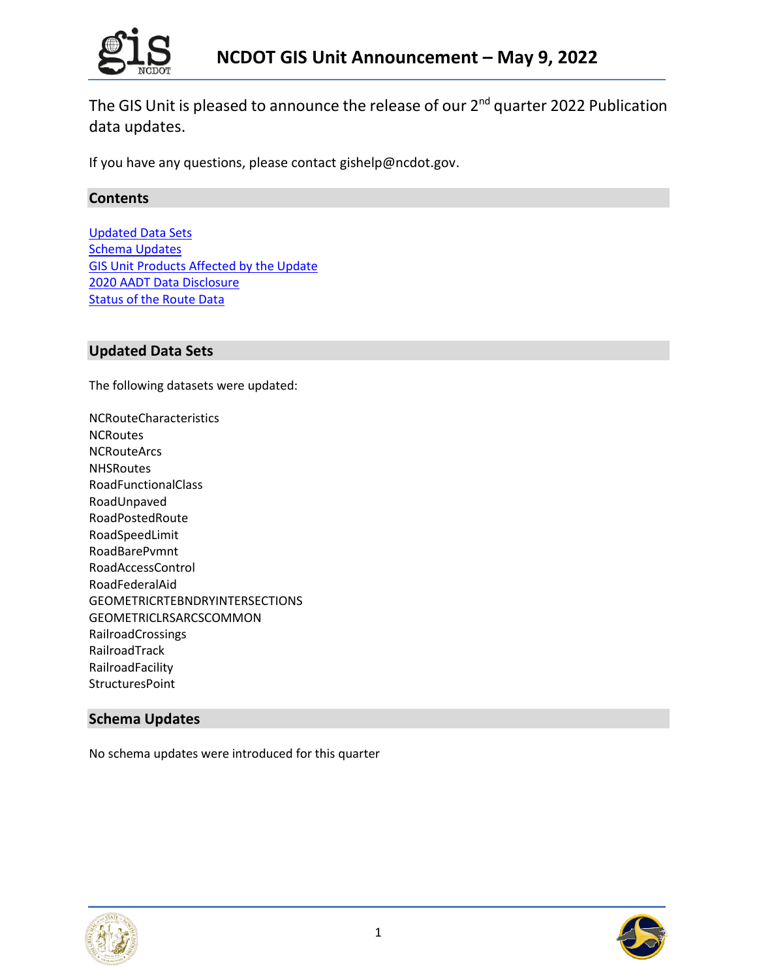

The GIS Unit is pleased to announce the release of our 2<sup>nd</sup> quarter 2022 Publication data updates.

If you have any questions, please contact gishelp@ncdot.gov.

# **Contents**

[Updated Data Sets](#page-2-0) [Schema Updates](#page-0-0) [GIS Unit Products Affected by the Update](#page-1-0) [2020 AADT Data Disclosure](#page-2-0) **[Status of the Route Data](#page-2-1)** 

# **Updated Data Sets**

The following datasets were updated:

NCRouteCharacteristics **NCRoutes** NCRouteArcs **NHSRoutes** RoadFunctionalClass RoadUnpaved RoadPostedRoute RoadSpeedLimit RoadBarePvmnt RoadAccessControl RoadFederalAid GEOMETRICRTEBNDRYINTERSECTIONS GEOMETRICLRSARCSCOMMON RailroadCrossings RailroadTrack RailroadFacility **StructuresPoint** 

# <span id="page-0-0"></span>**Schema Updates**

No schema updates were introduced for this quarter



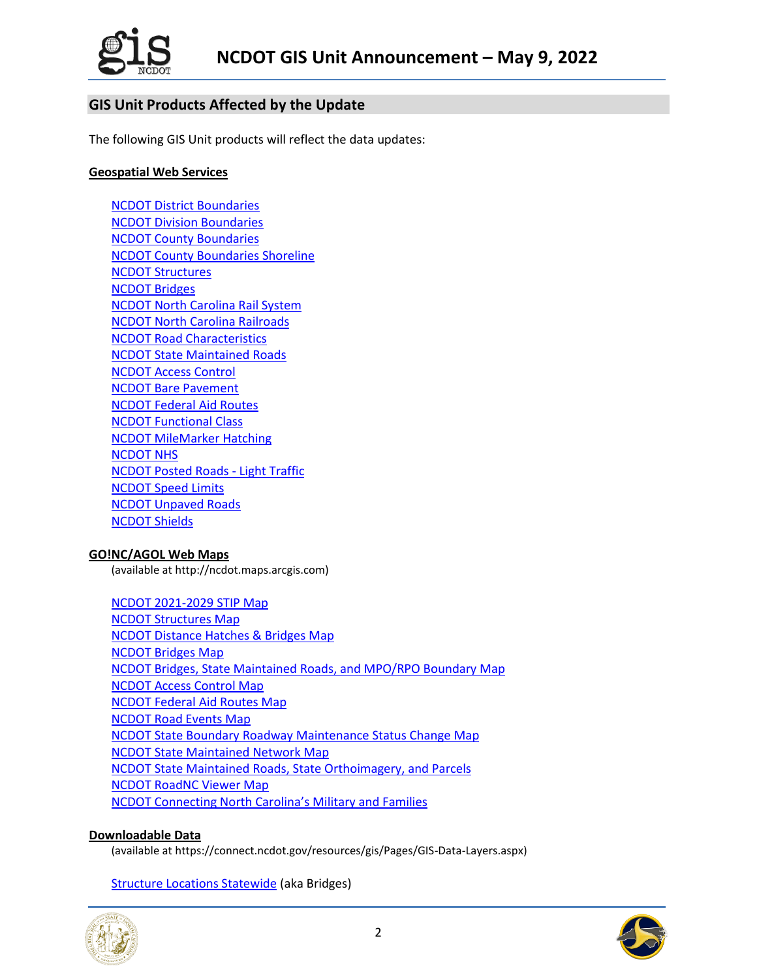

# <span id="page-1-0"></span>**GIS Unit Products Affected by the Update**

The following GIS Unit products will reflect the data updates:

## **Geospatial Web Services**

[NCDOT District Boundaries](https://ncdot.maps.arcgis.com/home/item.html?id=08a1d69815e54a50a904d56c197b01b1) [NCDOT Division Boundaries](https://ncdot.maps.arcgis.com/home/item.html?id=e3b2be199b2947ae8bec780f022dd590) [NCDOT County Boundaries](https://ncdot.maps.arcgis.com/home/item.html?id=d192da4d0ac249fa9584109b1d626286) [NCDOT County Boundaries Shoreline](https://ncdot.maps.arcgis.com/home/item.html?id=8cca921bbcd3471287e5a01b6f643091) [NCDOT Structures](http://ncdot.maps.arcgis.com/home/item.html?id=7367c33b80f346178ea5e158ec4d5b68) [NCDOT Bridges](http://ncdot.maps.arcgis.com/home/item.html?id=cedc9f72e1f9455592cf9653cec7ab88) [NCDOT North Carolina Rail System](http://ncdot.maps.arcgis.com/home/item.html?id=50b9f6e65f1b4ce09ef5c84a6f20a291) [NCDOT North Carolina Railroads](http://ncdot.maps.arcgis.com/home/item.html?id=fd40d8f34c3c491ba138d0d0bdecb432) [NCDOT Road Characteristics](http://ncdot.maps.arcgis.com/home/item.html?id=84f18af76af84a3ba88a39e6b720f986) [NCDOT State Maintained Roads](http://ncdot.maps.arcgis.com/home/item.html?id=157dbc4ef33f4db4aa1ecc1a3182a375) [NCDOT Access Control](http://ncdot.maps.arcgis.com/home/item.html?id=39a1ca371f4540199f4dc53db6f4c31a) [NCDOT Bare Pavement](http://ncdot.maps.arcgis.com/home/item.html?id=524f3d0d535347b5b82f04d50206d687) [NCDOT Federal Aid Routes](http://ncdot.maps.arcgis.com/home/item.html?id=0148e9338bfe443987c5c43a954c07cc) [NCDOT Functional Class](http://ncdot.maps.arcgis.com/home/item.html?id=029a9a9fe26e43d687d30cd3c08b1792) [NCDOT MileMarker Hatching](http://ncdot.maps.arcgis.com/home/item.html?id=3142bca24fe64205bd16bc14a8fbf1f5) [NCDOT NHS](http://ncdot.maps.arcgis.com/home/item.html?id=b5e4863550324ed38890e802410fae77) [NCDOT Posted Roads -](http://ncdot.maps.arcgis.com/home/item.html?id=65c69bf9c8954c5ca5942b580f41725d) Light Traffic [NCDOT Speed Limits](http://ncdot.maps.arcgis.com/home/item.html?id=2229ffaa3ea5470992d021023618e1e6) [NCDOT Unpaved Roads](http://ncdot.maps.arcgis.com/home/item.html?id=8f7ec504a8f94b79bc43b36c26927ec7) [NCDOT Shields](http://ncdot.maps.arcgis.com/home/item.html?id=26b0417dde954207a61a3105fec7de0a)

## **GO!NC/AGOL Web Maps**

(available at http://ncdot.maps.arcgis.com)

[NCDOT 2021-2029](http://ncdot.maps.arcgis.com/home/item.html?id=cb02f4f828974670ad01bb83be91b18c) STIP Map [NCDOT Structures Map](http://ncdot.maps.arcgis.com/home/webmap/viewer.html?webmap=aa6c8a51fc744618ae45c8b105cf7ff7) [NCDOT Distance Hatches & Bridges Map](http://ncdot.maps.arcgis.com/home/webmap/viewer.html?webmap=26d34349404844898365eabce2237775) [NCDOT Bridges Map](http://ncdot.maps.arcgis.com/home/webmap/viewer.html?webmap=db3b56c3228743b3811e36761393d661) [NCDOT Bridges, State Maintained Roads, and MPO/RPO Boundary Map](http://ncdot.maps.arcgis.com/home/webmap/viewer.html?webmap=b2f8ba9072c44a5db212b939a75f68bd) [NCDOT Access Control Map](http://ncdot.maps.arcgis.com/home/item.html?id=54666cce86f64925b9f51f560e849a44) [NCDOT Federal Aid Routes Map](http://ncdot.maps.arcgis.com/home/item.html?id=948445b58a504713befad3870357a28a) [NCDOT Road Events Map](http://ncdot.maps.arcgis.com/home/item.html?id=85d0eaebc9da403c907353f796ad3cb6) [NCDOT State Boundary Roadway Maintenance Status Change Map](https://ncdot.maps.arcgis.com/home/item.html?id=c9531db2b58b4d82ba482e59ec527f24) [NCDOT State Maintained Network Map](http://ncdot.maps.arcgis.com/home/item.html?id=5d3ad78971714a30be7ff97fd580e4d5) [NCDOT State Maintained Roads, State Orthoimagery, and Parcels](http://ncdot.maps.arcgis.com/home/item.html?id=f4e02f57011f4ded9b1107755a0f10d8) [NCDOT RoadNC Viewer Map](https://ncdot.maps.arcgis.com/home/item.html?id=c91dd1eff61a4456abad89fe0383114d) [NCDOT Connecting North Carolina's Military and Families](http://ncdot.maps.arcgis.com/home/item.html?id=adf0a65382094d8fbc040f90ddf4fcbc)

## **Downloadable Data**

(available at https://connect.ncdot.gov/resources/gis/Pages/GIS-Data-Layers.aspx)

**[Structure Locations Statewide](http://dotw-xfer01.dot.state.nc.us/gisdot/DOTBridgeLocations/NCDOTStructureLocations.zip) (aka Bridges)** 



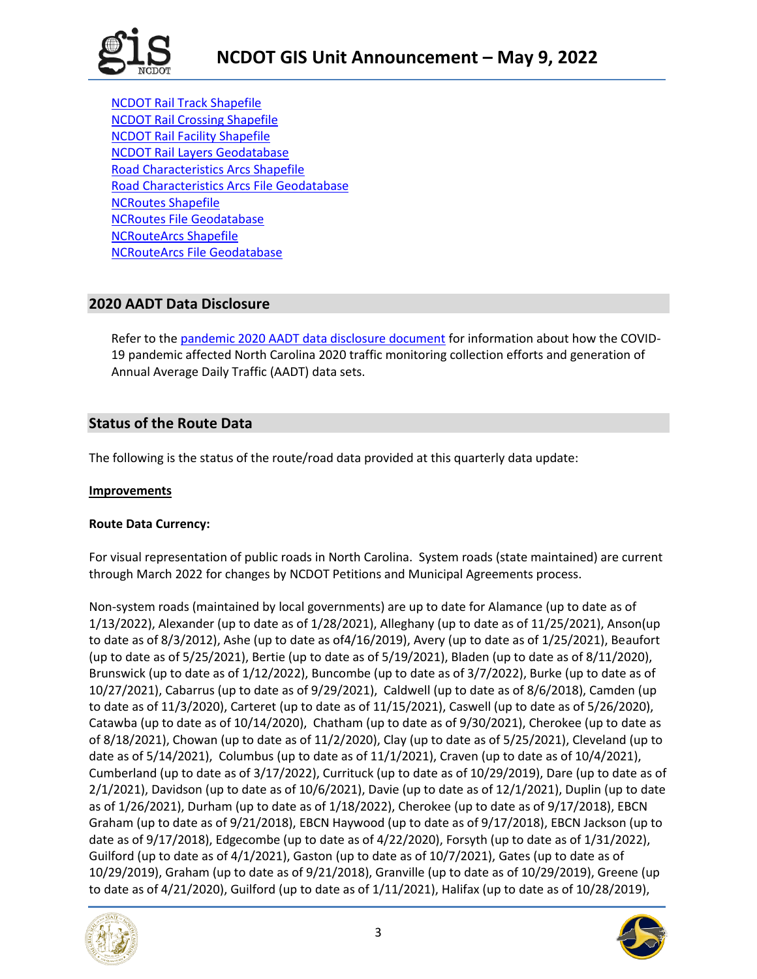

[NCDOT Rail Track Shapefile](http://dotw-xfer01.dot.state.nc.us/gisdot/DOTRailroad/NC_Rail_Track_SHP.zip) [NCDOT Rail Crossing Shapefile](http://dotw-xfer01.dot.state.nc.us/gisdot/DOTRailroad/NC_Rail_Crossings_SHP.zip) [NCDOT Rail Facility Shapefile](http://dotw-xfer01.dot.state.nc.us/gisdot/DOTRailroad/NC_Rail_Facilities_SHP.zip) [NCDOT Rail Layers Geodatabase](http://dotw-xfer01.dot.state.nc.us/gisdot/DOTRailroad/NC_RailLayers_GDB.zip) [Road Characteristics Arcs Shapefile](https://xfer.services.ncdot.gov/gisdot/DistDOTData/NCRouteCharacteristics_SHP.zip) [Road Characteristics Arcs File Geodatabase](https://xfer.services.ncdot.gov/gisdot/DistDOTData/NCRouteCharacteristics_GDB.zip) [NCRoutes Shapefile](https://xfer.services.ncdot.gov/gisdot/DistDOTData/NCRoutes_SHP.zip) [NCRoutes File Geodatabase](https://xfer.services.ncdot.gov/gisdot/DistDOTData/NCRoutes_GDB.zip) [NCRouteArcs Shapefile](https://xfer.services.ncdot.gov/gisdot/DistDOTData/NCRouteArcs_SHP.zip) [NCRouteArcs File Geodatabase](https://xfer.services.ncdot.gov/gisdot/DistDOTData/NCRouteArcs_GDB.zip)

# **2020 AADT Data Disclosure**

<span id="page-2-0"></span>Refer to the [pandemic 2020 AADT data disclosure document](https://connect.ncdot.gov/resources/State-Mapping/Documents/2020_COVID19_Impact_Memo_For_Traffic%20Montioring_Data_Customers.pdf) for information about how the COVID-19 pandemic affected North Carolina 2020 traffic monitoring collection efforts and generation of Annual Average Daily Traffic (AADT) data sets.

# <span id="page-2-1"></span>**Status of the Route Data**

The following is the status of the route/road data provided at this quarterly data update:

## **Improvements**

## **Route Data Currency:**

For visual representation of public roads in North Carolina. System roads (state maintained) are current through March 2022 for changes by NCDOT Petitions and Municipal Agreements process.

Non-system roads (maintained by local governments) are up to date for Alamance (up to date as of 1/13/2022), Alexander (up to date as of 1/28/2021), Alleghany (up to date as of 11/25/2021), Anson(up to date as of 8/3/2012), Ashe (up to date as of4/16/2019), Avery (up to date as of 1/25/2021), Beaufort (up to date as of 5/25/2021), Bertie (up to date as of 5/19/2021), Bladen (up to date as of 8/11/2020), Brunswick (up to date as of 1/12/2022), Buncombe (up to date as of 3/7/2022), Burke (up to date as of 10/27/2021), Cabarrus (up to date as of 9/29/2021), Caldwell (up to date as of 8/6/2018), Camden (up to date as of 11/3/2020), Carteret (up to date as of 11/15/2021), Caswell (up to date as of 5/26/2020), Catawba (up to date as of 10/14/2020), Chatham (up to date as of 9/30/2021), Cherokee (up to date as of 8/18/2021), Chowan (up to date as of 11/2/2020), Clay (up to date as of 5/25/2021), Cleveland (up to date as of  $5/14/2021$ , Columbus (up to date as of  $11/1/2021$ ), Craven (up to date as of  $10/4/2021$ ), Cumberland (up to date as of 3/17/2022), Currituck (up to date as of 10/29/2019), Dare (up to date as of 2/1/2021), Davidson (up to date as of 10/6/2021), Davie (up to date as of 12/1/2021), Duplin (up to date as of 1/26/2021), Durham (up to date as of 1/18/2022), Cherokee (up to date as of 9/17/2018), EBCN Graham (up to date as of 9/21/2018), EBCN Haywood (up to date as of 9/17/2018), EBCN Jackson (up to date as of 9/17/2018), Edgecombe (up to date as of 4/22/2020), Forsyth (up to date as of 1/31/2022), Guilford (up to date as of 4/1/2021), Gaston (up to date as of 10/7/2021), Gates (up to date as of 10/29/2019), Graham (up to date as of 9/21/2018), Granville (up to date as of 10/29/2019), Greene (up to date as of 4/21/2020), Guilford (up to date as of 1/11/2021), Halifax (up to date as of 10/28/2019),



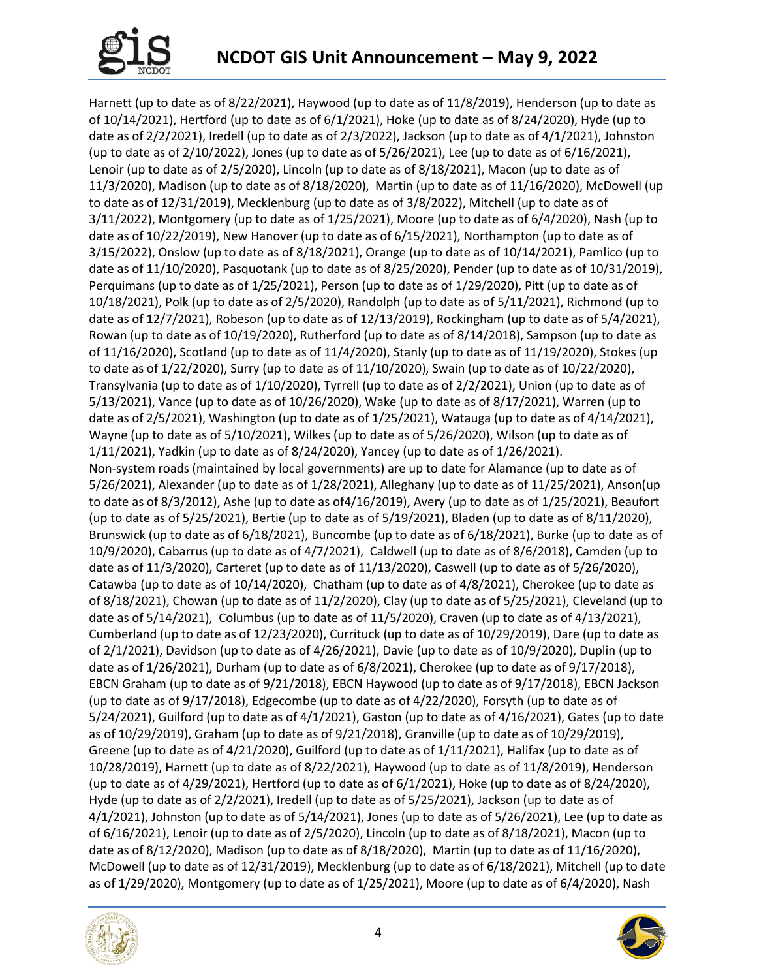

Harnett (up to date as of 8/22/2021), Haywood (up to date as of 11/8/2019), Henderson (up to date as of 10/14/2021), Hertford (up to date as of 6/1/2021), Hoke (up to date as of 8/24/2020), Hyde (up to date as of 2/2/2021), Iredell (up to date as of 2/3/2022), Jackson (up to date as of 4/1/2021), Johnston (up to date as of 2/10/2022), Jones (up to date as of 5/26/2021), Lee (up to date as of 6/16/2021), Lenoir (up to date as of 2/5/2020), Lincoln (up to date as of 8/18/2021), Macon (up to date as of 11/3/2020), Madison (up to date as of 8/18/2020), Martin (up to date as of 11/16/2020), McDowell (up to date as of 12/31/2019), Mecklenburg (up to date as of 3/8/2022), Mitchell (up to date as of 3/11/2022), Montgomery (up to date as of 1/25/2021), Moore (up to date as of 6/4/2020), Nash (up to date as of 10/22/2019), New Hanover (up to date as of 6/15/2021), Northampton (up to date as of 3/15/2022), Onslow (up to date as of 8/18/2021), Orange (up to date as of 10/14/2021), Pamlico (up to date as of 11/10/2020), Pasquotank (up to date as of 8/25/2020), Pender (up to date as of 10/31/2019), Perquimans (up to date as of 1/25/2021), Person (up to date as of 1/29/2020), Pitt (up to date as of 10/18/2021), Polk (up to date as of 2/5/2020), Randolph (up to date as of 5/11/2021), Richmond (up to date as of 12/7/2021), Robeson (up to date as of 12/13/2019), Rockingham (up to date as of 5/4/2021), Rowan (up to date as of 10/19/2020), Rutherford (up to date as of 8/14/2018), Sampson (up to date as of 11/16/2020), Scotland (up to date as of 11/4/2020), Stanly (up to date as of 11/19/2020), Stokes (up to date as of 1/22/2020), Surry (up to date as of 11/10/2020), Swain (up to date as of 10/22/2020), Transylvania (up to date as of 1/10/2020), Tyrrell (up to date as of 2/2/2021), Union (up to date as of 5/13/2021), Vance (up to date as of 10/26/2020), Wake (up to date as of 8/17/2021), Warren (up to date as of 2/5/2021), Washington (up to date as of 1/25/2021), Watauga (up to date as of 4/14/2021), Wayne (up to date as of 5/10/2021), Wilkes (up to date as of 5/26/2020), Wilson (up to date as of 1/11/2021), Yadkin (up to date as of 8/24/2020), Yancey (up to date as of 1/26/2021). Non-system roads (maintained by local governments) are up to date for Alamance (up to date as of 5/26/2021), Alexander (up to date as of 1/28/2021), Alleghany (up to date as of 11/25/2021), Anson(up to date as of 8/3/2012), Ashe (up to date as of4/16/2019), Avery (up to date as of 1/25/2021), Beaufort (up to date as of 5/25/2021), Bertie (up to date as of 5/19/2021), Bladen (up to date as of 8/11/2020), Brunswick (up to date as of 6/18/2021), Buncombe (up to date as of 6/18/2021), Burke (up to date as of 10/9/2020), Cabarrus (up to date as of 4/7/2021), Caldwell (up to date as of 8/6/2018), Camden (up to date as of 11/3/2020), Carteret (up to date as of 11/13/2020), Caswell (up to date as of 5/26/2020), Catawba (up to date as of 10/14/2020), Chatham (up to date as of 4/8/2021), Cherokee (up to date as of 8/18/2021), Chowan (up to date as of 11/2/2020), Clay (up to date as of 5/25/2021), Cleveland (up to date as of 5/14/2021), Columbus (up to date as of 11/5/2020), Craven (up to date as of 4/13/2021), Cumberland (up to date as of 12/23/2020), Currituck (up to date as of 10/29/2019), Dare (up to date as of 2/1/2021), Davidson (up to date as of 4/26/2021), Davie (up to date as of 10/9/2020), Duplin (up to date as of 1/26/2021), Durham (up to date as of 6/8/2021), Cherokee (up to date as of 9/17/2018), EBCN Graham (up to date as of 9/21/2018), EBCN Haywood (up to date as of 9/17/2018), EBCN Jackson (up to date as of 9/17/2018), Edgecombe (up to date as of 4/22/2020), Forsyth (up to date as of 5/24/2021), Guilford (up to date as of 4/1/2021), Gaston (up to date as of 4/16/2021), Gates (up to date as of 10/29/2019), Graham (up to date as of 9/21/2018), Granville (up to date as of 10/29/2019), Greene (up to date as of 4/21/2020), Guilford (up to date as of 1/11/2021), Halifax (up to date as of 10/28/2019), Harnett (up to date as of 8/22/2021), Haywood (up to date as of 11/8/2019), Henderson (up to date as of 4/29/2021), Hertford (up to date as of 6/1/2021), Hoke (up to date as of 8/24/2020), Hyde (up to date as of 2/2/2021), Iredell (up to date as of 5/25/2021), Jackson (up to date as of 4/1/2021), Johnston (up to date as of 5/14/2021), Jones (up to date as of 5/26/2021), Lee (up to date as of 6/16/2021), Lenoir (up to date as of 2/5/2020), Lincoln (up to date as of 8/18/2021), Macon (up to date as of 8/12/2020), Madison (up to date as of 8/18/2020), Martin (up to date as of 11/16/2020), McDowell (up to date as of 12/31/2019), Mecklenburg (up to date as of 6/18/2021), Mitchell (up to date as of 1/29/2020), Montgomery (up to date as of 1/25/2021), Moore (up to date as of 6/4/2020), Nash